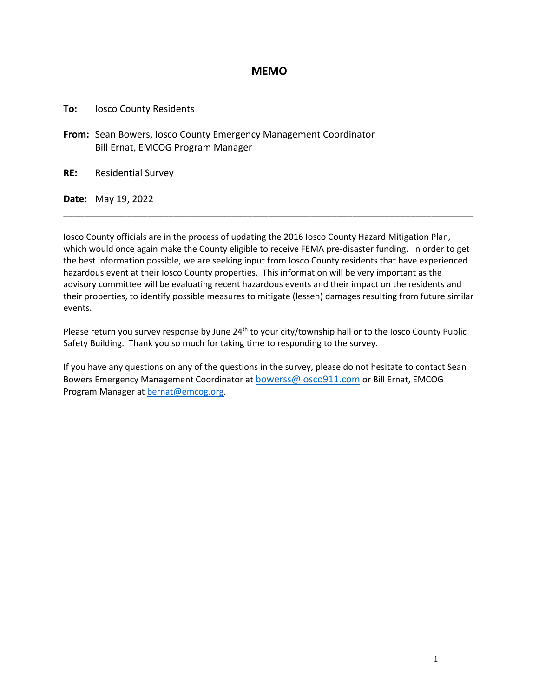#### **MEMO**

**To:** Iosco County Residents

**From:** Sean Bowers, Iosco County Emergency Management Coordinator Bill Ernat, EMCOG Program Manager

**RE:** Residential Survey

**Date:** May 19, 2022

Iosco County officials are in the process of updating the 2016 Iosco County Hazard Mitigation Plan, which would once again make the County eligible to receive FEMA pre-disaster funding. In order to get the best information possible, we are seeking input from Iosco County residents that have experienced hazardous event at their Iosco County properties. This information will be very important as the advisory committee will be evaluating recent hazardous events and their impact on the residents and their properties, to identify possible measures to mitigate (lessen) damages resulting from future similar events.

\_\_\_\_\_\_\_\_\_\_\_\_\_\_\_\_\_\_\_\_\_\_\_\_\_\_\_\_\_\_\_\_\_\_\_\_\_\_\_\_\_\_\_\_\_\_\_\_\_\_\_\_\_\_\_\_\_\_\_\_\_\_\_\_\_\_\_\_\_\_\_\_\_\_\_\_\_\_

Please return you survey response by June 24<sup>th</sup> to your city/township hall or to the Iosco County Public Safety Building. Thank you so much for taking time to responding to the survey.

If you have any questions on any of the questions in the survey, please do not hesitate to contact Sean Bowers Emergency Management Coordinator at [bowerss@iosco911.com](mailto:bowerss@iosco911.com) or Bill Ernat, EMCOG Program Manager at [bernat@emcog.org.](mailto:bernat@emcog.org)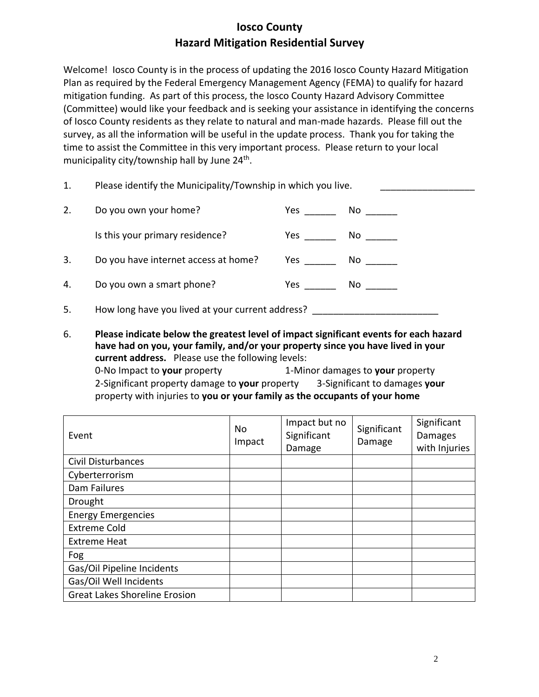Welcome! Iosco County is in the process of updating the 2016 Iosco County Hazard Mitigation Plan as required by the Federal Emergency Management Agency (FEMA) to qualify for hazard mitigation funding. As part of this process, the Iosco County Hazard Advisory Committee (Committee) would like your feedback and is seeking your assistance in identifying the concerns of Iosco County residents as they relate to natural and man-made hazards. Please fill out the survey, as all the information will be useful in the update process. Thank you for taking the time to assist the Committee in this very important process. Please return to your local municipality city/township hall by June 24<sup>th</sup>.

| 1. | Please identify the Municipality/Township in which you live. |     |                                                                                                                 |
|----|--------------------------------------------------------------|-----|-----------------------------------------------------------------------------------------------------------------|
| 2. | Do you own your home?                                        |     | No and the set of the set of the set of the set of the set of the set of the set of the set of the set of the   |
|    | Is this your primary residence?                              |     | No and the set of the set of the set of the set of the set of the set of the set of the set of the set of the   |
| 3. | Do you have internet access at home?                         |     | No control of the set of the set of the set of the set of the set of the set of the set of the set of the set o |
| 4. | Do you own a smart phone?                                    | Yes | No control of the set of the set of the set of the set of the set of the set of the set of the set of the set o |
| 5. | How long have you lived at your current address?             |     |                                                                                                                 |

6. **Please indicate below the greatest level of impact significant events for each hazard have had on you, your family, and/or your property since you have lived in your current address.** Please use the following levels: 0-No Impact to **your** property 1-Minor damages to **your** property 2-Significant property damage to **your** property 3-Significant to damages **your** property with injuries to **you or your family as the occupants of your home**

| Event                                | No<br>Impact | Impact but no<br>Significant<br>Damage | Significant<br>Damage | Significant<br><b>Damages</b><br>with Injuries |
|--------------------------------------|--------------|----------------------------------------|-----------------------|------------------------------------------------|
| <b>Civil Disturbances</b>            |              |                                        |                       |                                                |
| Cyberterrorism                       |              |                                        |                       |                                                |
| Dam Failures                         |              |                                        |                       |                                                |
| Drought                              |              |                                        |                       |                                                |
| <b>Energy Emergencies</b>            |              |                                        |                       |                                                |
| <b>Extreme Cold</b>                  |              |                                        |                       |                                                |
| <b>Extreme Heat</b>                  |              |                                        |                       |                                                |
| Fog                                  |              |                                        |                       |                                                |
| Gas/Oil Pipeline Incidents           |              |                                        |                       |                                                |
| Gas/Oil Well Incidents               |              |                                        |                       |                                                |
| <b>Great Lakes Shoreline Erosion</b> |              |                                        |                       |                                                |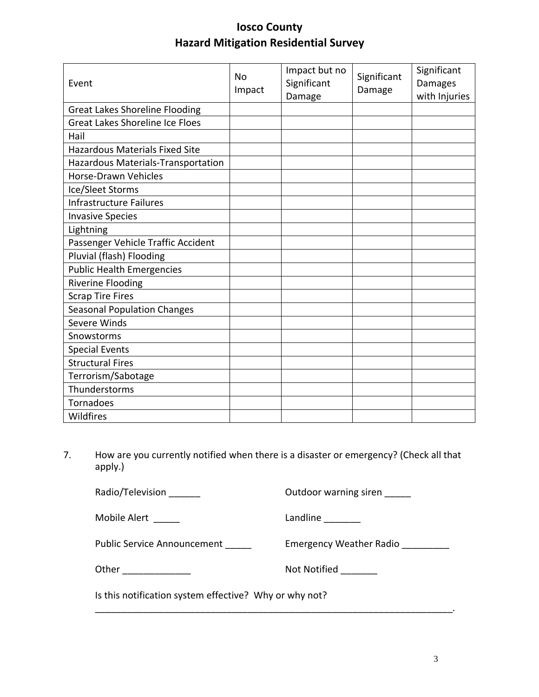| Event                                  | <b>No</b><br>Impact | Impact but no<br>Significant<br>Damage | Significant<br>Damage | Significant<br>Damages<br>with Injuries |
|----------------------------------------|---------------------|----------------------------------------|-----------------------|-----------------------------------------|
| <b>Great Lakes Shoreline Flooding</b>  |                     |                                        |                       |                                         |
| <b>Great Lakes Shoreline Ice Floes</b> |                     |                                        |                       |                                         |
| Hail                                   |                     |                                        |                       |                                         |
| <b>Hazardous Materials Fixed Site</b>  |                     |                                        |                       |                                         |
| Hazardous Materials-Transportation     |                     |                                        |                       |                                         |
| Horse-Drawn Vehicles                   |                     |                                        |                       |                                         |
| Ice/Sleet Storms                       |                     |                                        |                       |                                         |
| <b>Infrastructure Failures</b>         |                     |                                        |                       |                                         |
| <b>Invasive Species</b>                |                     |                                        |                       |                                         |
| Lightning                              |                     |                                        |                       |                                         |
| Passenger Vehicle Traffic Accident     |                     |                                        |                       |                                         |
| Pluvial (flash) Flooding               |                     |                                        |                       |                                         |
| <b>Public Health Emergencies</b>       |                     |                                        |                       |                                         |
| <b>Riverine Flooding</b>               |                     |                                        |                       |                                         |
| <b>Scrap Tire Fires</b>                |                     |                                        |                       |                                         |
| <b>Seasonal Population Changes</b>     |                     |                                        |                       |                                         |
| Severe Winds                           |                     |                                        |                       |                                         |
| Snowstorms                             |                     |                                        |                       |                                         |
| <b>Special Events</b>                  |                     |                                        |                       |                                         |
| <b>Structural Fires</b>                |                     |                                        |                       |                                         |
| Terrorism/Sabotage                     |                     |                                        |                       |                                         |
| Thunderstorms                          |                     |                                        |                       |                                         |
| Tornadoes                              |                     |                                        |                       |                                         |
| Wildfires                              |                     |                                        |                       |                                         |

7. How are you currently notified when there is a disaster or emergency? (Check all that apply.)

\_\_\_\_\_\_\_\_\_\_\_\_\_\_\_\_\_\_\_\_\_\_\_\_\_\_\_\_\_\_\_\_\_\_\_\_\_\_\_\_\_\_\_\_\_\_\_\_\_\_\_\_\_\_\_\_\_\_\_\_\_\_\_\_\_\_\_\_.

Radio/Television \_\_\_\_\_\_\_ details and a control outdoor warning siren \_\_\_\_\_

Mobile Alert \_\_\_\_\_ Landline \_\_\_\_\_\_\_

Public Service Announcement \_\_\_\_\_\_ Emergency Weather Radio \_\_\_\_\_\_\_\_\_

Other \_\_\_\_\_\_\_\_\_\_\_\_\_ Not Notified \_\_\_\_\_\_\_

Is this notification system effective? Why or why not?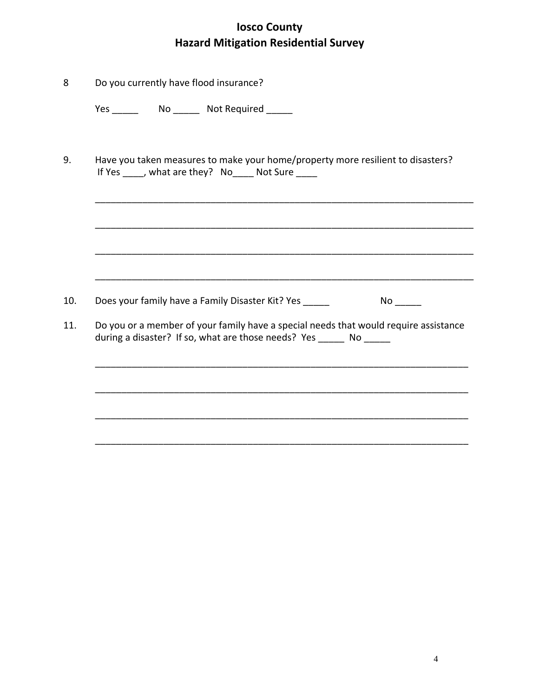| 8   | Do you currently have flood insurance?                                                                                                                       |  |  |
|-----|--------------------------------------------------------------------------------------------------------------------------------------------------------------|--|--|
|     |                                                                                                                                                              |  |  |
| 9.  | Have you taken measures to make your home/property more resilient to disasters?<br>If Yes ____, what are they? No____ Not Sure ____                          |  |  |
|     |                                                                                                                                                              |  |  |
|     |                                                                                                                                                              |  |  |
|     |                                                                                                                                                              |  |  |
| 10. | Does your family have a Family Disaster Kit? Yes _____                                                                                                       |  |  |
| 11. | Do you or a member of your family have a special needs that would require assistance<br>during a disaster? If so, what are those needs? Yes ______ No ______ |  |  |
|     |                                                                                                                                                              |  |  |
|     |                                                                                                                                                              |  |  |
|     |                                                                                                                                                              |  |  |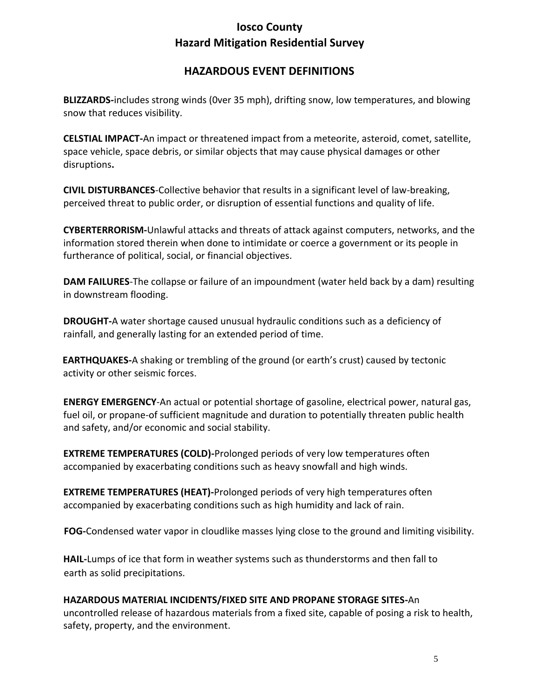#### **HAZARDOUS EVENT DEFINITIONS**

**BLIZZARDS-**includes strong winds (0ver 35 mph), drifting snow, low temperatures, and blowing snow that reduces visibility.

**CELSTIAL IMPACT-**An impact or threatened impact from a meteorite, asteroid, comet, satellite, space vehicle, space debris, or similar objects that may cause physical damages or other disruptions**.**

**CIVIL DISTURBANCES**-Collective behavior that results in a significant level of law-breaking, perceived threat to public order, or disruption of essential functions and quality of life.

**CYBERTERRORISM-**Unlawful attacks and threats of attack against computers, networks, and the information stored therein when done to intimidate or coerce a government or its people in furtherance of political, social, or financial objectives.

**DAM FAILURES**-The collapse or failure of an impoundment (water held back by a dam) resulting in downstream flooding.

**DROUGHT-**A water shortage caused unusual hydraulic conditions such as a deficiency of rainfall, and generally lasting for an extended period of time.

**EARTHQUAKES-**A shaking or trembling of the ground (or earth's crust) caused by tectonic activity or other seismic forces.

**ENERGY EMERGENCY**-An actual or potential shortage of gasoline, electrical power, natural gas, fuel oil, or propane-of sufficient magnitude and duration to potentially threaten public health and safety, and/or economic and social stability.

**EXTREME TEMPERATURES (COLD)-**Prolonged periods of very low temperatures often accompanied by exacerbating conditions such as heavy snowfall and high winds.

**EXTREME TEMPERATURES (HEAT)-**Prolonged periods of very high temperatures often accompanied by exacerbating conditions such as high humidity and lack of rain.

**FOG-**Condensed water vapor in cloudlike masses lying close to the ground and limiting visibility.

**HAIL-**Lumps of ice that form in weather systems such as thunderstorms and then fall to earth as solid precipitations.

#### **HAZARDOUS MATERIAL INCIDENTS/FIXED SITE AND PROPANE STORAGE SITES-**An

uncontrolled release of hazardous materials from a fixed site, capable of posing a risk to health, safety, property, and the environment.

5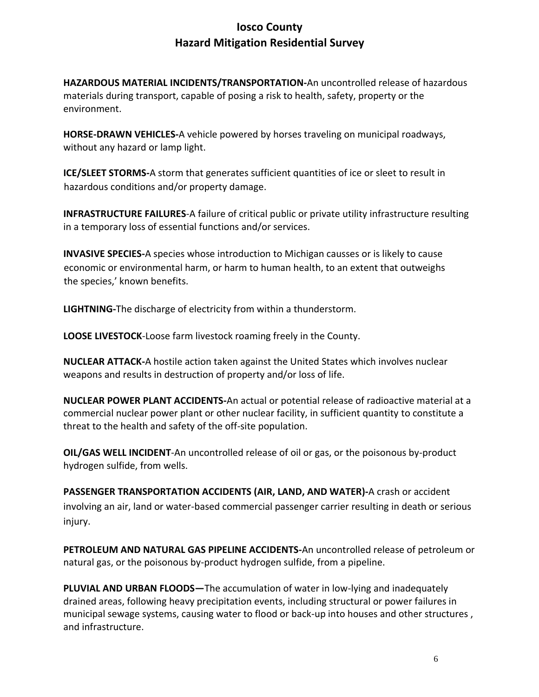**HAZARDOUS MATERIAL INCIDENTS/TRANSPORTATION-**An uncontrolled release of hazardous materials during transport, capable of posing a risk to health, safety, property or the environment.

**HORSE-DRAWN VEHICLES-**A vehicle powered by horses traveling on municipal roadways, without any hazard or lamp light.

**ICE/SLEET STORMS-**A storm that generates sufficient quantities of ice or sleet to result in hazardous conditions and/or property damage.

**INFRASTRUCTURE FAILURES**-A failure of critical public or private utility infrastructure resulting in a temporary loss of essential functions and/or services.

**INVASIVE SPECIES-**A species whose introduction to Michigan causses or is likely to cause economic or environmental harm, or harm to human health, to an extent that outweighs the species,' known benefits.

**LIGHTNING-**The discharge of electricity from within a thunderstorm.

**LOOSE LIVESTOCK**-Loose farm livestock roaming freely in the County.

**NUCLEAR ATTACK-**A hostile action taken against the United States which involves nuclear weapons and results in destruction of property and/or loss of life.

**NUCLEAR POWER PLANT ACCIDENTS-**An actual or potential release of radioactive material at a commercial nuclear power plant or other nuclear facility, in sufficient quantity to constitute a threat to the health and safety of the off-site population.

**OIL/GAS WELL INCIDENT**-An uncontrolled release of oil or gas, or the poisonous by-product hydrogen sulfide, from wells.

**PASSENGER TRANSPORTATION ACCIDENTS (AIR, LAND, AND WATER)-**A crash or accident involving an air, land or water-based commercial passenger carrier resulting in death or serious injury.

**PETROLEUM AND NATURAL GAS PIPELINE ACCIDENTS-**An uncontrolled release of petroleum or natural gas, or the poisonous by-product hydrogen sulfide, from a pipeline.

**PLUVIAL AND URBAN FLOODS—**The accumulation of water in low-lying and inadequately drained areas, following heavy precipitation events, including structural or power failures in municipal sewage systems, causing water to flood or back-up into houses and other structures , and infrastructure.